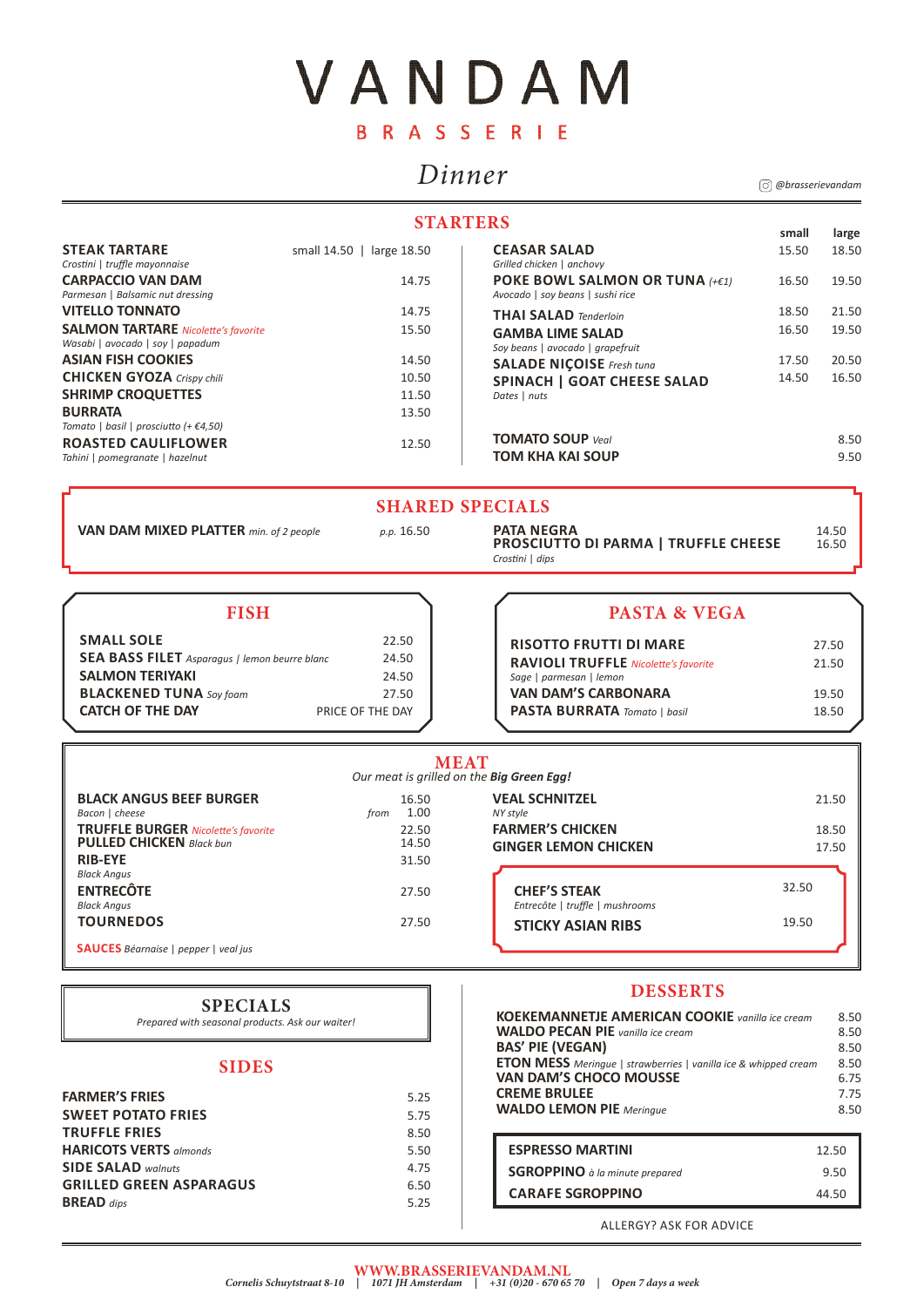# VANDAM BRASSERIE

# *Dinner*

| <b>RISOTTO FRUTTI DI MARE</b><br><b>RAVIOLI TRUFFLE Nicolette's favorite</b><br>Sage   parmesan   lemon | 27.50<br>21.50 |
|---------------------------------------------------------------------------------------------------------|----------------|
| <b>VAN DAM'S CARBONARA</b>                                                                              | 19.50          |
| <b>PASTA BURRATA</b> Tomato   basil                                                                     | 18.50          |

### **STARTERS**

| <b>STEAK TARTARE</b>                            | small 14.50   large 18.50 | <b>CEASAR SALAD</b>                |
|-------------------------------------------------|---------------------------|------------------------------------|
| Crostini   truffle mayonnaise                   |                           | Grilled chicken   anchovy          |
| <b>CARPACCIO VAN DAM</b>                        | 14.75                     | POKE BOWL SALMON OR TUNA (+€1)     |
| Parmesan   Balsamic nut dressing                |                           | Avocado   soy beans   sushi rice   |
| <b>VITELLO TONNATO</b>                          | 14.75                     | <b>THAI SALAD</b> Tenderloin       |
| <b>SALMON TARTARE</b> Nicolette's favorite      | 15.50                     | <b>GAMBA LIME SALAD</b>            |
| Wasabi   avocado   soy   papadum                |                           | Soy beans   avocado   grapefruit   |
| <b>ASIAN FISH COOKIES</b>                       | 14.50                     | <b>SALADE NICOISE</b> Fresh tuna   |
| <b>CHICKEN GYOZA Crispy chili</b>               | 10.50                     | <b>SPINACH   GOAT CHEESE SALAD</b> |
| <b>SHRIMP CROQUETTES</b>                        | 11.50                     | Dates   nuts                       |
| <b>BURRATA</b>                                  | 13.50                     |                                    |
| Tomato   basil   prosciutto (+ $\epsilon$ 4,50) |                           |                                    |
| <b>ROASTED CAULIFLOWER</b>                      | 12.50                     | <b>TOMATO SOUP Veal</b>            |
| Tahini   pomegranate   hazelnut                 |                           | <b>TOM KHA KAI SOUP</b>            |

## **TOMATO SOUP** *Veal* 8.50 **TOM KHA KAI SOUP** 9.50

**VAN DAM MIXED PLATTER** *min. of 2 people p.p.* 16.50 **PATA NEGRA PROSCIUTTO DI PARMA | TRUFFLE CHEESE** 16.50 **PROSCIUTTO DI PARMA | TRUFFLE CHEESE** *Crostini* | *dips*

| <b>FARMER'S FRIES</b>          | 5.25 |
|--------------------------------|------|
| <b>SWEET POTATO FRIES</b>      | 5.75 |
| <b>TRUFFLE FRIES</b>           | 8.50 |
| <b>HARICOTS VERTS almonds</b>  | 5.50 |
| <b>SIDE SALAD walnuts</b>      | 4.75 |
| <b>GRILLED GREEN ASPARAGUS</b> | 6.50 |
| <b>BREAD</b> dips              | 5.25 |

ALLERGY? ASK FOR ADVICE

| <b>ESPRESSO MARTINI</b>               | 12.50 |
|---------------------------------------|-------|
| <b>SGROPPINO</b> à la minute prepared | 9.50  |
| <b>CARAFE SGROPPINO</b>               | 44.50 |

### **SHARED SPECIALS**

### **SIDES**

### **DESSERTS**

### **WWW.BRASSERIEVANDAM.NL**

| <b>FISH</b>                                          |                  | <b>PASTA &amp; VEGA</b>                     |
|------------------------------------------------------|------------------|---------------------------------------------|
| <b>SMALL SOLE</b>                                    | 22.50            | <b>RISOTTO FRUTTI DI MARE</b>               |
| <b>SEA BASS FILET</b> Asparagus   lemon beurre blanc | 24.50            | <b>RAVIOLI TRUFFLE Nicolette's favorite</b> |
| <b>SALMON TERIYAKI</b>                               | 24.50            | Sage   parmesan   lemon                     |
| <b>BLACKENED TUNA</b> Soy foam                       | 27.50            | <b>VAN DAM'S CARBONARA</b>                  |
| <b>CATCH OF THE DAY</b>                              | PRICE OF THE DAY | <b>PASTA BURRATA</b> Tomato   basil         |

| <b>PASTA &amp; VEGA</b> |  |
|-------------------------|--|
|                         |  |

*Cornelis Schuytstraat 8-10 | 1071 JH Amsterdam | +31 (0)20 - 670 65 70 | Open 7 days a week*

| <b>MEAT</b><br>Our meat is grilled on the Big Green Egg!                      |                       |                                                        |       |
|-------------------------------------------------------------------------------|-----------------------|--------------------------------------------------------|-------|
| <b>BLACK ANGUS BEEF BURGER</b><br>Bacon   cheese                              | 16.50<br>1.00<br>from | <b>VEAL SCHNITZEL</b><br>NY style                      | 21.50 |
| <b>TRUFFLE BURGER Nicolette's favorite</b><br><b>PULLED CHICKEN</b> Black bun | 22.50<br>14.50        | <b>FARMER'S CHICKEN</b>                                | 18.50 |
| <b>RIB-EYE</b>                                                                | 31.50                 | <b>GINGER LEMON CHICKEN</b>                            | 17.50 |
| <b>Black Angus</b>                                                            |                       |                                                        | 32.50 |
| <b>ENTRECÔTE</b><br><b>Black Angus</b>                                        | 27.50                 | <b>CHEF'S STEAK</b><br>Entrecôte   truffle   mushrooms |       |
| <b>TOURNEDOS</b>                                                              | 27.50                 | <b>STICKY ASIAN RIBS</b>                               | 19.50 |
| <b>SAUCES</b> Béarnaise   pepper   veal jus                                   |                       |                                                        |       |

18.50

19.50

21.50 19.50

20.50 16.50

**small large**

15.50

16.50

18.50 16.50

17.50 14.50

### **SPECIALS**

*Prepared with seasonal products. Ask our waiter!*

*@brasserievandam*

| <b>KOEKEMANNETJE AMERICAN COOKIE</b> vanilla ice cream                 | 8.50 |
|------------------------------------------------------------------------|------|
| <b>WALDO PECAN PIE</b> vanilla ice cream                               | 8.50 |
| <b>BAS' PIE (VEGAN)</b>                                                | 8.50 |
| <b>ETON MESS</b> Meringue   strawberries   vanilla ice & whipped cream | 8.50 |
| <b>VAN DAM'S CHOCO MOUSSE</b>                                          | 6.75 |
| <b>CREME BRULEE</b>                                                    | 7.75 |
| <b>WALDO LEMON PIE</b> Meringue                                        | 8.50 |